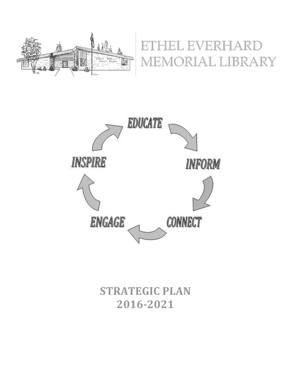

# EL EVERHARD EMORIAL LIBRARY



## **STRATEGIC PLAN 2016-2021**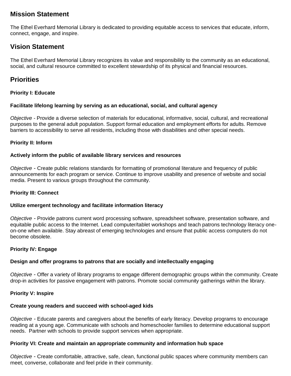## **Mission Statement**

The Ethel Everhard Memorial Library is dedicated to providing equitable access to services that educate, inform, connect, engage, and inspire.

## **Vision Statement**

The Ethel Everhard Memorial Library recognizes its value and responsibility to the community as an educational, social, and cultural resource committed to excellent stewardship of its physical and financial resources.

### **Priorities**

#### **Priority I: Educate**

#### **Facilitate lifelong learning by serving as an educational, social, and cultural agency**

*Objective -* Provide a diverse selection of materials for educational, informative, social, cultural, and recreational purposes to the general adult population. Support formal education and employment efforts for adults. Remove barriers to accessibility to serve all residents, including those with disabilities and other special needs.

#### **Priority II: Inform**

#### **Actively inform the public of available library services and resources**

*Objective* - Create public relations standards for formatting of promotional literature and frequency of public announcements for each program or service. Continue to improve usability and presence of website and social media. Present to various groups throughout the community.

#### **Priority III: Connect**

#### **Utilize emergent technology and facilitate information literacy**

*Objective -* Provide patrons current word processing software, spreadsheet software, presentation software, and equitable public access to the Internet. Lead computer/tablet workshops and teach patrons technology literacy oneon-one when available. Stay abreast of emerging technologies and ensure that public access computers do not become obsolete.

#### **Priority IV: Engage**

#### **Design and offer programs to patrons that are socially and intellectually engaging**

*Objective* - Offer a variety of library programs to engage different demographic groups within the community. Create drop-in activities for passive engagement with patrons. Promote social community gatherings within the library.

#### **Priority V: Inspire**

#### **Create young readers and succeed with school-aged kids**

*Objective -* Educate parents and caregivers about the benefits of early literacy. Develop programs to encourage reading at a young age. Communicate with schools and homeschooler families to determine educational support needs. Partner with schools to provide support services when appropriate.

#### **Priority VI: Create and maintain an appropriate community and information hub space**

*Objective* - Create comfortable, attractive, safe, clean, functional public spaces where community members can meet, converse, collaborate and feel pride in their community.